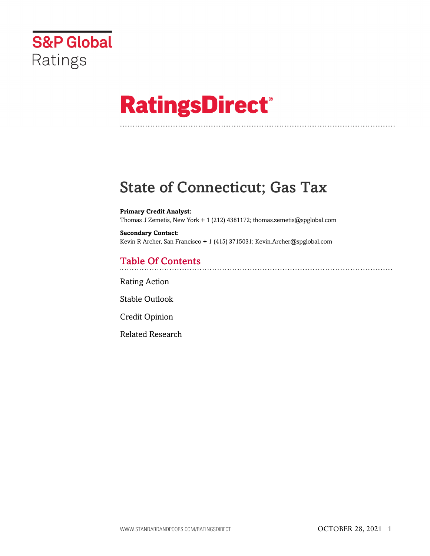

# **RatingsDirect®**

# State of Connecticut; Gas Tax

**Primary Credit Analyst:** Thomas J Zemetis, New York + 1 (212) 4381172; thomas.zemetis@spglobal.com

**Secondary Contact:** Kevin R Archer, San Francisco + 1 (415) 3715031; Kevin.Archer@spglobal.com

# Table Of Contents

[Rating Action](#page-1-0)

[Stable Outlook](#page-4-0)

[Credit Opinion](#page-4-1)

[Related Research](#page-6-0)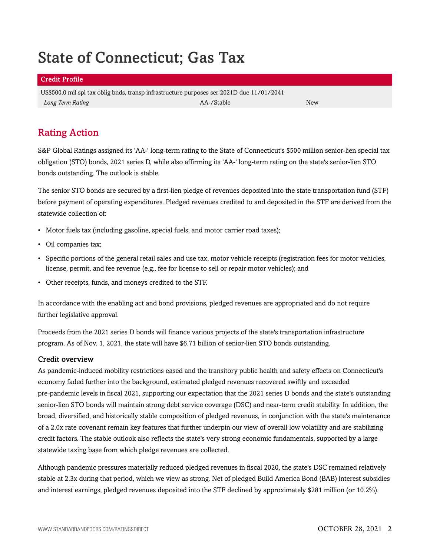# State of Connecticut; Gas Tax

#### Credit Profile

US\$500.0 mil spl tax oblig bnds, transp infrastructure purposes ser 2021D due 11/01/2041 *Long Term Rating* New *New AA-/Stable* AA-/Stable **A** 

# <span id="page-1-0"></span>Rating Action

S&P Global Ratings assigned its 'AA-' long-term rating to the State of Connecticut's \$500 million senior-lien special tax obligation (STO) bonds, 2021 series D, while also affirming its 'AA-' long-term rating on the state's senior-lien STO bonds outstanding. The outlook is stable.

The senior STO bonds are secured by a first-lien pledge of revenues deposited into the state transportation fund (STF) before payment of operating expenditures. Pledged revenues credited to and deposited in the STF are derived from the statewide collection of:

- Motor fuels tax (including gasoline, special fuels, and motor carrier road taxes);
- Oil companies tax;
- Specific portions of the general retail sales and use tax, motor vehicle receipts (registration fees for motor vehicles, license, permit, and fee revenue (e.g., fee for license to sell or repair motor vehicles); and
- Other receipts, funds, and moneys credited to the STF.

In accordance with the enabling act and bond provisions, pledged revenues are appropriated and do not require further legislative approval.

Proceeds from the 2021 series D bonds will finance various projects of the state's transportation infrastructure program. As of Nov. 1, 2021, the state will have \$6.71 billion of senior-lien STO bonds outstanding.

#### Credit overview

As pandemic-induced mobility restrictions eased and the transitory public health and safety effects on Connecticut's economy faded further into the background, estimated pledged revenues recovered swiftly and exceeded pre-pandemic levels in fiscal 2021, supporting our expectation that the 2021 series D bonds and the state's outstanding senior-lien STO bonds will maintain strong debt service coverage (DSC) and near-term credit stability. In addition, the broad, diversified, and historically stable composition of pledged revenues, in conjunction with the state's maintenance of a 2.0x rate covenant remain key features that further underpin our view of overall low volatility and are stabilizing credit factors. The stable outlook also reflects the state's very strong economic fundamentals, supported by a large statewide taxing base from which pledge revenues are collected.

Although pandemic pressures materially reduced pledged revenues in fiscal 2020, the state's DSC remained relatively stable at 2.3x during that period, which we view as strong. Net of pledged Build America Bond (BAB) interest subsidies and interest earnings, pledged revenues deposited into the STF declined by approximately \$281 million (or 10.2%).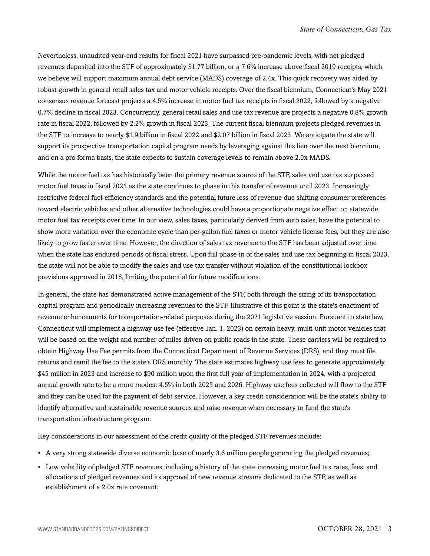Nevertheless, unaudited year-end results for fiscal 2021 have surpassed pre-pandemic levels, with net pledged revenues deposited into the STF of approximately \$1.77 billion, or a 7.6% increase above fiscal 2019 receipts, which we believe will support maximum annual debt service (MADS) coverage of 2.4x. This quick recovery was aided by robust growth in general retail sales tax and motor vehicle receipts. Over the fiscal biennium, Connecticut's May 2021 consensus revenue forecast projects a 4.5% increase in motor fuel tax receipts in fiscal 2022, followed by a negative 0.7% decline in fiscal 2023. Concurrently, general retail sales and use tax revenue are projects a negative 0.8% growth rate in fiscal 2022, followed by 2.2% growth in fiscal 2023. The current fiscal biennium projects pledged revenues in the STF to increase to nearly \$1.9 billion in fiscal 2022 and \$2.07 billion in fiscal 2023. We anticipate the state will support its prospective transportation capital program needs by leveraging against this lien over the next biennium, and on a pro forma basis, the state expects to sustain coverage levels to remain above 2.0x MADS.

While the motor fuel tax has historically been the primary revenue source of the STF, sales and use tax surpassed motor fuel taxes in fiscal 2021 as the state continues to phase in this transfer of revenue until 2023. Increasingly restrictive federal fuel-efficiency standards and the potential future loss of revenue due shifting consumer preferences toward electric vehicles and other alternative technologies could have a proportionate negative effect on statewide motor fuel tax receipts over time. In our view, sales taxes, particularly derived from auto sales, have the potential to show more variation over the economic cycle than per-gallon fuel taxes or motor vehicle license fees, but they are also likely to grow faster over time. However, the direction of sales tax revenue to the STF has been adjusted over time when the state has endured periods of fiscal stress. Upon full phase-in of the sales and use tax beginning in fiscal 2023, the state will not be able to modify the sales and use tax transfer without violation of the constitutional lockbox provisions approved in 2018, limiting the potential for future modifications.

In general, the state has demonstrated active management of the STF, both through the sizing of its transportation capital program and periodically increasing revenues to the STF. Illustrative of this point is the state's enactment of revenue enhancements for transportation-related purposes during the 2021 legislative session. Pursuant to state law, Connecticut will implement a highway use fee (effective Jan. 1, 2023) on certain heavy, multi-unit motor vehicles that will be based on the weight and number of miles driven on public roads in the state. These carriers will be required to obtain Highway Use Fee permits from the Connecticut Department of Revenue Services (DRS), and they must file returns and remit the fee to the state's DRS monthly. The state estimates highway use fees to generate approximately \$45 million in 2023 and increase to \$90 million upon the first full year of implementation in 2024, with a projected annual growth rate to be a more modest 4.5% in both 2025 and 2026. Highway use fees collected will flow to the STF and they can be used for the payment of debt service. However, a key credit consideration will be the state's ability to identify alternative and sustainable revenue sources and raise revenue when necessary to fund the state's transportation infrastructure program.

Key considerations in our assessment of the credit quality of the pledged STF revenues include:

- A very strong statewide diverse economic base of nearly 3.6 million people generating the pledged revenues;
- Low volatility of pledged STF revenues, including a history of the state increasing motor fuel tax rates, fees, and allocations of pledged revenues and its approval of new revenue streams dedicated to the STF, as well as establishment of a 2.0x rate covenant;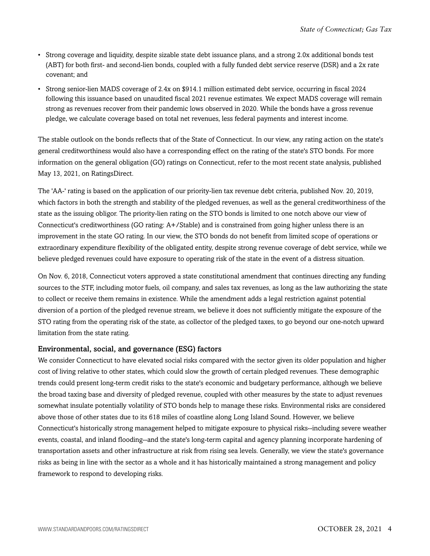- Strong coverage and liquidity, despite sizable state debt issuance plans, and a strong 2.0x additional bonds test (ABT) for both first- and second-lien bonds, coupled with a fully funded debt service reserve (DSR) and a 2x rate covenant; and
- Strong senior-lien MADS coverage of 2.4x on \$914.1 million estimated debt service, occurring in fiscal 2024 following this issuance based on unaudited fiscal 2021 revenue estimates. We expect MADS coverage will remain strong as revenues recover from their pandemic lows observed in 2020. While the bonds have a gross revenue pledge, we calculate coverage based on total net revenues, less federal payments and interest income.

The stable outlook on the bonds reflects that of the State of Connecticut. In our view, any rating action on the state's general creditworthiness would also have a corresponding effect on the rating of the state's STO bonds. For more information on the general obligation (GO) ratings on Connecticut, refer to the most recent state analysis, published May 13, 2021, on RatingsDirect.

The 'AA-' rating is based on the application of our priority-lien tax revenue debt criteria, published Nov. 20, 2019, which factors in both the strength and stability of the pledged revenues, as well as the general creditworthiness of the state as the issuing obligor. The priority-lien rating on the STO bonds is limited to one notch above our view of Connecticut's creditworthiness (GO rating: A+/Stable) and is constrained from going higher unless there is an improvement in the state GO rating. In our view, the STO bonds do not benefit from limited scope of operations or extraordinary expenditure flexibility of the obligated entity, despite strong revenue coverage of debt service, while we believe pledged revenues could have exposure to operating risk of the state in the event of a distress situation.

On Nov. 6, 2018, Connecticut voters approved a state constitutional amendment that continues directing any funding sources to the STF, including motor fuels, oil company, and sales tax revenues, as long as the law authorizing the state to collect or receive them remains in existence. While the amendment adds a legal restriction against potential diversion of a portion of the pledged revenue stream, we believe it does not sufficiently mitigate the exposure of the STO rating from the operating risk of the state, as collector of the pledged taxes, to go beyond our one-notch upward limitation from the state rating.

#### Environmental, social, and governance (ESG) factors

We consider Connecticut to have elevated social risks compared with the sector given its older population and higher cost of living relative to other states, which could slow the growth of certain pledged revenues. These demographic trends could present long-term credit risks to the state's economic and budgetary performance, although we believe the broad taxing base and diversity of pledged revenue, coupled with other measures by the state to adjust revenues somewhat insulate potentially volatility of STO bonds help to manage these risks. Environmental risks are considered above those of other states due to its 618 miles of coastline along Long Island Sound. However, we believe Connecticut's historically strong management helped to mitigate exposure to physical risks--including severe weather events, coastal, and inland flooding--and the state's long-term capital and agency planning incorporate hardening of transportation assets and other infrastructure at risk from rising sea levels. Generally, we view the state's governance risks as being in line with the sector as a whole and it has historically maintained a strong management and policy framework to respond to developing risks.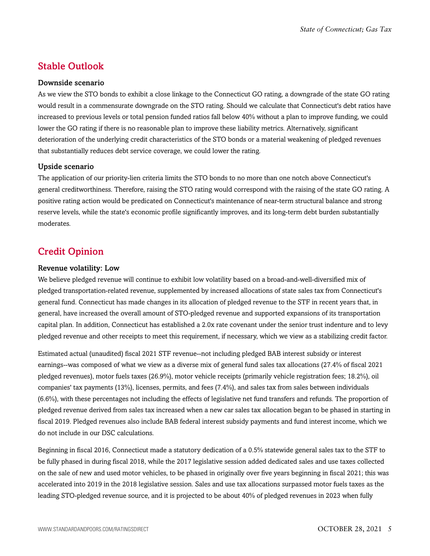## <span id="page-4-0"></span>Stable Outlook

#### Downside scenario

As we view the STO bonds to exhibit a close linkage to the Connecticut GO rating, a downgrade of the state GO rating would result in a commensurate downgrade on the STO rating. Should we calculate that Connecticut's debt ratios have increased to previous levels or total pension funded ratios fall below 40% without a plan to improve funding, we could lower the GO rating if there is no reasonable plan to improve these liability metrics. Alternatively, significant deterioration of the underlying credit characteristics of the STO bonds or a material weakening of pledged revenues that substantially reduces debt service coverage, we could lower the rating.

#### Upside scenario

The application of our priority-lien criteria limits the STO bonds to no more than one notch above Connecticut's general creditworthiness. Therefore, raising the STO rating would correspond with the raising of the state GO rating. A positive rating action would be predicated on Connecticut's maintenance of near-term structural balance and strong reserve levels, while the state's economic profile significantly improves, and its long-term debt burden substantially moderates.

### <span id="page-4-1"></span>Credit Opinion

#### Revenue volatility: Low

We believe pledged revenue will continue to exhibit low volatility based on a broad-and-well-diversified mix of pledged transportation-related revenue, supplemented by increased allocations of state sales tax from Connecticut's general fund. Connecticut has made changes in its allocation of pledged revenue to the STF in recent years that, in general, have increased the overall amount of STO-pledged revenue and supported expansions of its transportation capital plan. In addition, Connecticut has established a 2.0x rate covenant under the senior trust indenture and to levy pledged revenue and other receipts to meet this requirement, if necessary, which we view as a stabilizing credit factor.

Estimated actual (unaudited) fiscal 2021 STF revenue--not including pledged BAB interest subsidy or interest earnings--was composed of what we view as a diverse mix of general fund sales tax allocations (27.4% of fiscal 2021 pledged revenues), motor fuels taxes (26.9%), motor vehicle receipts (primarily vehicle registration fees; 18.2%), oil companies' tax payments (13%), licenses, permits, and fees (7.4%), and sales tax from sales between individuals (6.6%), with these percentages not including the effects of legislative net fund transfers and refunds. The proportion of pledged revenue derived from sales tax increased when a new car sales tax allocation began to be phased in starting in fiscal 2019. Pledged revenues also include BAB federal interest subsidy payments and fund interest income, which we do not include in our DSC calculations.

Beginning in fiscal 2016, Connecticut made a statutory dedication of a 0.5% statewide general sales tax to the STF to be fully phased in during fiscal 2018, while the 2017 legislative session added dedicated sales and use taxes collected on the sale of new and used motor vehicles, to be phased in originally over five years beginning in fiscal 2021; this was accelerated into 2019 in the 2018 legislative session. Sales and use tax allocations surpassed motor fuels taxes as the leading STO-pledged revenue source, and it is projected to be about 40% of pledged revenues in 2023 when fully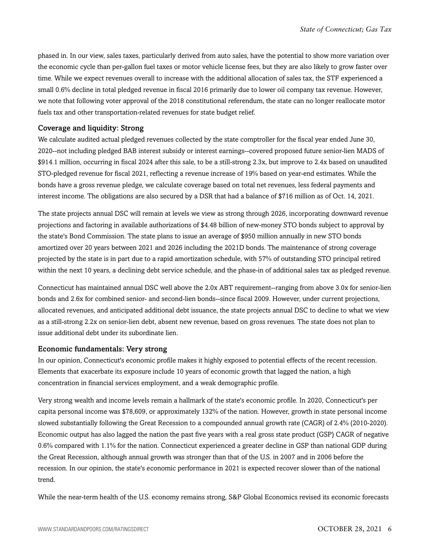phased in. In our view, sales taxes, particularly derived from auto sales, have the potential to show more variation over the economic cycle than per-gallon fuel taxes or motor vehicle license fees, but they are also likely to grow faster over time. While we expect revenues overall to increase with the additional allocation of sales tax, the STF experienced a small 0.6% decline in total pledged revenue in fiscal 2016 primarily due to lower oil company tax revenue. However, we note that following voter approval of the 2018 constitutional referendum, the state can no longer reallocate motor fuels tax and other transportation-related revenues for state budget relief.

#### Coverage and liquidity: Strong

We calculate audited actual pledged revenues collected by the state comptroller for the fiscal year ended June 30, 2020--not including pledged BAB interest subsidy or interest earnings--covered proposed future senior-lien MADS of \$914.1 million, occurring in fiscal 2024 after this sale, to be a still-strong 2.3x, but improve to 2.4x based on unaudited STO-pledged revenue for fiscal 2021, reflecting a revenue increase of 19% based on year-end estimates. While the bonds have a gross revenue pledge, we calculate coverage based on total net revenues, less federal payments and interest income. The obligations are also secured by a DSR that had a balance of \$716 million as of Oct. 14, 2021.

The state projects annual DSC will remain at levels we view as strong through 2026, incorporating downward revenue projections and factoring in available authorizations of \$4.48 billion of new-money STO bonds subject to approval by the state's Bond Commission. The state plans to issue an average of \$950 million annually in new STO bonds amortized over 20 years between 2021 and 2026 including the 2021D bonds. The maintenance of strong coverage projected by the state is in part due to a rapid amortization schedule, with 57% of outstanding STO principal retired within the next 10 years, a declining debt service schedule, and the phase-in of additional sales tax as pledged revenue.

Connecticut has maintained annual DSC well above the 2.0x ABT requirement--ranging from above 3.0x for senior-lien bonds and 2.6x for combined senior- and second-lien bonds--since fiscal 2009. However, under current projections, allocated revenues, and anticipated additional debt issuance, the state projects annual DSC to decline to what we view as a still-strong 2.2x on senior-lien debt, absent new revenue, based on gross revenues. The state does not plan to issue additional debt under its subordinate lien.

#### Economic fundamentals: Very strong

In our opinion, Connecticut's economic profile makes it highly exposed to potential effects of the recent recession. Elements that exacerbate its exposure include 10 years of economic growth that lagged the nation, a high concentration in financial services employment, and a weak demographic profile.

Very strong wealth and income levels remain a hallmark of the state's economic profile. In 2020, Connecticut's per capita personal income was \$78,609, or approximately 132% of the nation. However, growth in state personal income slowed substantially following the Great Recession to a compounded annual growth rate (CAGR) of 2.4% (2010-2020). Economic output has also lagged the nation the past five years with a real gross state product (GSP) CAGR of negative 0.6% compared with 1.1% for the nation. Connecticut experienced a greater decline in GSP than national GDP during the Great Recession, although annual growth was stronger than that of the U.S. in 2007 and in 2006 before the recession. In our opinion, the state's economic performance in 2021 is expected recover slower than of the national trend.

While the near-term health of the U.S. economy remains strong, S&P Global Economics revised its economic forecasts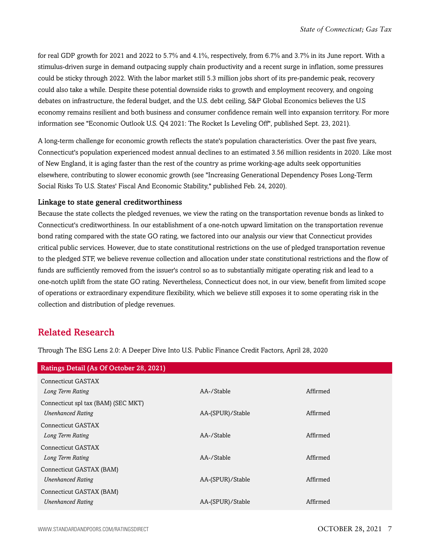for real GDP growth for 2021 and 2022 to 5.7% and 4.1%, respectively, from 6.7% and 3.7% in its June report. With a stimulus-driven surge in demand outpacing supply chain productivity and a recent surge in inflation, some pressures could be sticky through 2022. With the labor market still 5.3 million jobs short of its pre-pandemic peak, recovery could also take a while. Despite these potential downside risks to growth and employment recovery, and ongoing debates on infrastructure, the federal budget, and the U.S. debt ceiling, S&P Global Economics believes the U.S economy remains resilient and both business and consumer confidence remain well into expansion territory. For more information see "Economic Outlook U.S. Q4 2021: The Rocket Is Leveling Off", published Sept. 23, 2021).

A long-term challenge for economic growth reflects the state's population characteristics. Over the past five years, Connecticut's population experienced modest annual declines to an estimated 3.56 million residents in 2020. Like most of New England, it is aging faster than the rest of the country as prime working-age adults seek opportunities elsewhere, contributing to slower economic growth (see "Increasing Generational Dependency Poses Long-Term Social Risks To U.S. States' Fiscal And Economic Stability," published Feb. 24, 2020).

#### Linkage to state general creditworthiness

Because the state collects the pledged revenues, we view the rating on the transportation revenue bonds as linked to Connecticut's creditworthiness. In our establishment of a one-notch upward limitation on the transportation revenue bond rating compared with the state GO rating, we factored into our analysis our view that Connecticut provides critical public services. However, due to state constitutional restrictions on the use of pledged transportation revenue to the pledged STF, we believe revenue collection and allocation under state constitutional restrictions and the flow of funds are sufficiently removed from the issuer's control so as to substantially mitigate operating risk and lead to a one-notch uplift from the state GO rating. Nevertheless, Connecticut does not, in our view, benefit from limited scope of operations or extraordinary expenditure flexibility, which we believe still exposes it to some operating risk in the collection and distribution of pledge revenues.

### <span id="page-6-0"></span>Related Research

Through The ESG Lens 2.0: A Deeper Dive Into U.S. Public Finance Credit Factors, April 28, 2020

| Ratings Detail (As Of October 28, 2021) |                  |          |
|-----------------------------------------|------------------|----------|
| Connecticut GASTAX                      |                  |          |
| Long Term Rating                        | AA-/Stable       | Affirmed |
| Connecticut spl tax (BAM) (SEC MKT)     |                  |          |
| <b>Unenhanced Rating</b>                | AA-(SPUR)/Stable | Affirmed |
| Connecticut GASTAX                      |                  |          |
| Long Term Rating                        | AA-/Stable       | Affirmed |
| Connecticut GASTAX                      |                  |          |
| Long Term Rating                        | AA-/Stable       | Affirmed |
| Connecticut GASTAX (BAM)                |                  |          |
| <b>Unenhanced Rating</b>                | AA-(SPUR)/Stable | Affirmed |
| Connecticut GASTAX (BAM)                |                  |          |
| <b>Unenhanced Rating</b>                | AA-(SPUR)/Stable | Affirmed |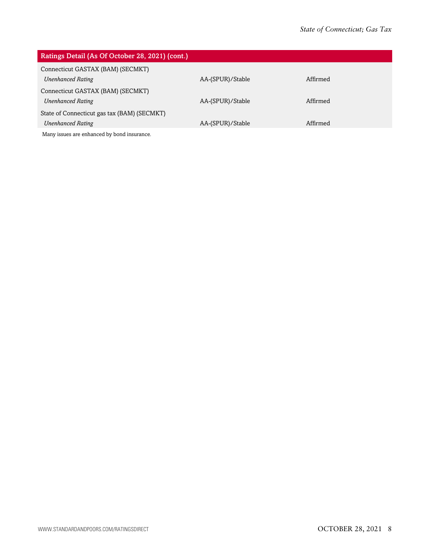| Ratings Detail (As Of October 28, 2021) (cont.)                         |                  |          |
|-------------------------------------------------------------------------|------------------|----------|
| Connecticut GASTAX (BAM) (SECMKT)<br><b>Unenhanced Rating</b>           | AA-(SPUR)/Stable | Affirmed |
| Connecticut GASTAX (BAM) (SECMKT)<br><b>Unenhanced Rating</b>           | AA-(SPUR)/Stable | Affirmed |
| State of Connecticut gas tax (BAM) (SECMKT)<br><b>Unenhanced Rating</b> | AA-(SPUR)/Stable | Affirmed |
| Manus increase and subspaced but been dimensional                       |                  |          |

Many issues are enhanced by bond insurance.